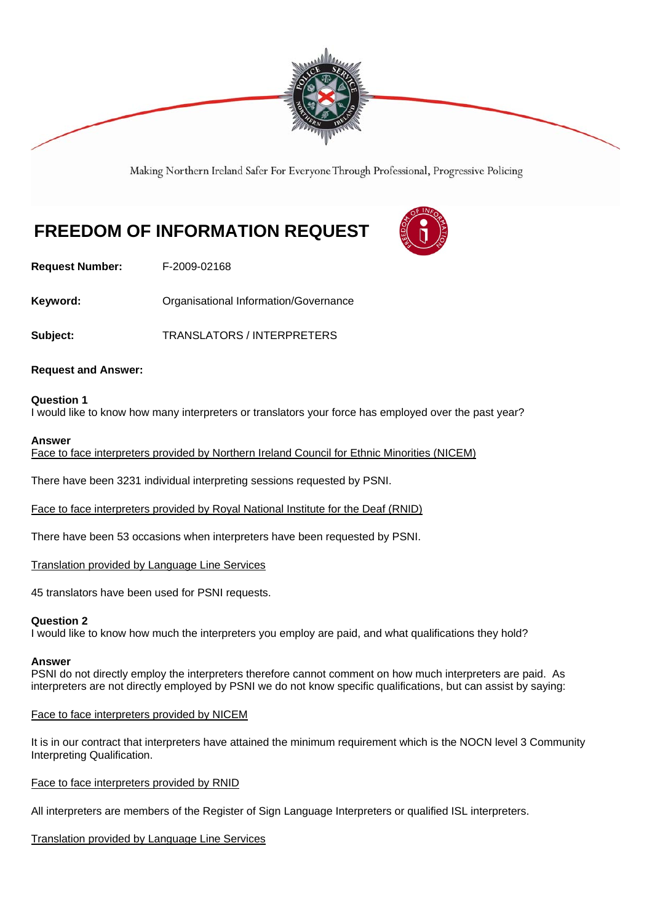

Making Northern Ireland Safer For Everyone Through Professional, Progressive Policing

# **FREEDOM OF INFORMATION REQUEST**



**Request Number:** F-2009-02168

**Keyword: C**rganisational Information/Governance

**Subject:** TRANSLATORS / INTERPRETERS

# **Request and Answer:**

## **Question 1**

I would like to know how many interpreters or translators your force has employed over the past year?

#### **Answer**

Face to face interpreters provided by Northern Ireland Council for Ethnic Minorities (NICEM)

There have been 3231 individual interpreting sessions requested by PSNI.

Face to face interpreters provided by Royal National Institute for the Deaf (RNID)

There have been 53 occasions when interpreters have been requested by PSNI.

Translation provided by Language Line Services

45 translators have been used for PSNI requests.

#### **Question 2**

I would like to know how much the interpreters you employ are paid, and what qualifications they hold?

#### **Answer**

PSNI do not directly employ the interpreters therefore cannot comment on how much interpreters are paid. As interpreters are not directly employed by PSNI we do not know specific qualifications, but can assist by saying:

# Face to face interpreters provided by NICEM

It is in our contract that interpreters have attained the minimum requirement which is the NOCN level 3 Community Interpreting Qualification.

Face to face interpreters provided by RNID

All interpreters are members of the Register of Sign Language Interpreters or qualified ISL interpreters.

# Translation provided by Language Line Services